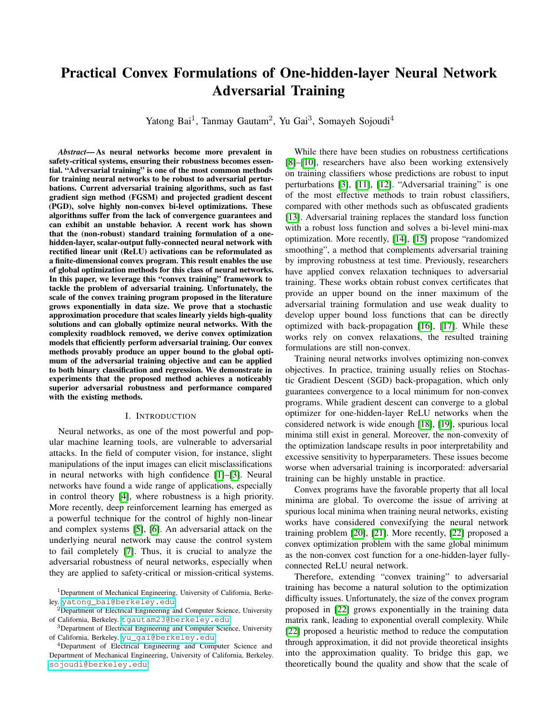# Practical Convex Formulations of One-hidden-layer Neural Network Adversarial Training

Yatong Bai<sup>1</sup>, Tanmay Gautam<sup>2</sup>, Yu Gai<sup>3</sup>, Somayeh Sojoudi<sup>4</sup>

*Abstract*— As neural networks become more prevalent in safety-critical systems, ensuring their robustness becomes essential. "Adversarial training" is one of the most common methods for training neural networks to be robust to adversarial perturbations. Current adversarial training algorithms, such as fast gradient sign method (FGSM) and projected gradient descent (PGD), solve highly non-convex bi-level optimizations. These algorithms suffer from the lack of convergence guarantees and can exhibit an unstable behavior. A recent work has shown that the (non-robust) standard training formulation of a onehidden-layer, scalar-output fully-connected neural network with rectified linear unit (ReLU) activations can be reformulated as a finite-dimensional convex program. This result enables the use of global optimization methods for this class of neural networks. In this paper, we leverage this "convex training" framework to tackle the problem of adversarial training. Unfortunately, the scale of the convex training program proposed in the literature grows exponentially in data size. We prove that a stochastic approximation procedure that scales linearly yields high-quality solutions and can globally optimize neural networks. With the complexity roadblock removed, we derive convex optimization models that efficiently perform adversarial training. Our convex methods provably produce an upper bound to the global optimum of the adversarial training objective and can be applied to both binary classification and regression. We demonstrate in experiments that the proposed method achieves a noticeably superior adversarial robustness and performance compared with the existing methods.

## I. INTRODUCTION

Neural networks, as one of the most powerful and popular machine learning tools, are vulnerable to adversarial attacks. In the field of computer vision, for instance, slight manipulations of the input images can elicit misclassifications in neural networks with high confidence  $[\![1]\!]$  $[\![1]\!]$  $[\![1]\!]$ – $[\![3]\!]$  $[\![3]\!]$  $[\![3]\!]$ . Neural networks have found a wide range of applications, especially in control theory  $[4]$ , where robustness is a high priority. More recently, deep reinforcement learning has emerged as a powerful technique for the control of highly non-linear and complex systems  $[5]$ ,  $[6]$ . An adversarial attack on the underlying neural network may cause the control system to fail completely  $[7]$ . Thus, it is crucial to analyze the adversarial robustness of neural networks, especially when they are applied to safety-critical or mission-critical systems.

While there have been studies on robustness certifications  $\sqrt{8}$ – $\sqrt{10}$ , researchers have also been working extensively on training classifiers whose predictions are robust to input perturbations  $[3]$ ,  $[11]$ ,  $[12]$ . "Adversarial training" is one of the most effective methods to train robust classifiers, compared with other methods such as obfuscated gradients [\[13\]](#page-7-10). Adversarial training replaces the standard loss function with a robust loss function and solves a bi-level mini-max optimization. More recently, [\[14\]](#page-7-11), [\[15\]](#page-7-12) propose "randomized smoothing", a method that complements adversarial training by improving robustness at test time. Previously, researchers have applied convex relaxation techniques to adversarial training. These works obtain robust convex certificates that provide an upper bound on the inner maximum of the adversarial training formulation and use weak duality to develop upper bound loss functions that can be directly optimized with back-propagation  $[16]$ ,  $[17]$ . While these works rely on convex relaxations, the resulted training formulations are still non-convex.

Training neural networks involves optimizing non-convex objectives. In practice, training usually relies on Stochastic Gradient Descent (SGD) back-propagation, which only guarantees convergence to a local minimum for non-convex programs. While gradient descent can converge to a global optimizer for one-hidden-layer ReLU networks when the considered network is wide enough [\[18\]](#page-7-15), [\[19\]](#page-7-16), spurious local minima still exist in general. Moreover, the non-convexity of the optimization landscape results in poor interpretability and excessive sensitivity to hyperparameters. These issues become worse when adversarial training is incorporated: adversarial training can be highly unstable in practice.

Convex programs have the favorable property that all local minima are global. To overcome the issue of arriving at spurious local minima when training neural networks, existing works have considered convexifying the neural network training problem  $[20]$ ,  $[21]$ . More recently,  $[22]$  proposed a convex optimization problem with the same global minimum as the non-convex cost function for a one-hidden-layer fullyconnected ReLU neural network.

Therefore, extending "convex training" to adversarial training has become a natural solution to the optimization difficulty issues. Unfortunately, the size of the convex program proposed in [\[22\]](#page-7-19) grows exponentially in the training data matrix rank, leading to exponential overall complexity. While [\[22\]](#page-7-19) proposed a heuristic method to reduce the computation through approximation, it did not provide theoretical insights into the approximation quality. To bridge this gap, we theoretically bound the quality and show that the scale of

<sup>&</sup>lt;sup>1</sup>Department of Mechanical Engineering, University of California, Berkeley. yatong\_bai@berkeley.edu

<sup>&</sup>lt;sup>2</sup>Department of Electrical Engineering and Computer Science, University of California, Berkeley. tgautam23@berkeley.edu

<sup>3</sup>Department of Electrical Engineering and Computer Science, University of California, Berkeley. yu\_gai@berkeley.edu

<sup>&</sup>lt;sup>4</sup>Department of Electrical Engineering and Computer Science and Department of Mechanical Engineering, University of California, Berkeley. sojoudi@berkeley.edu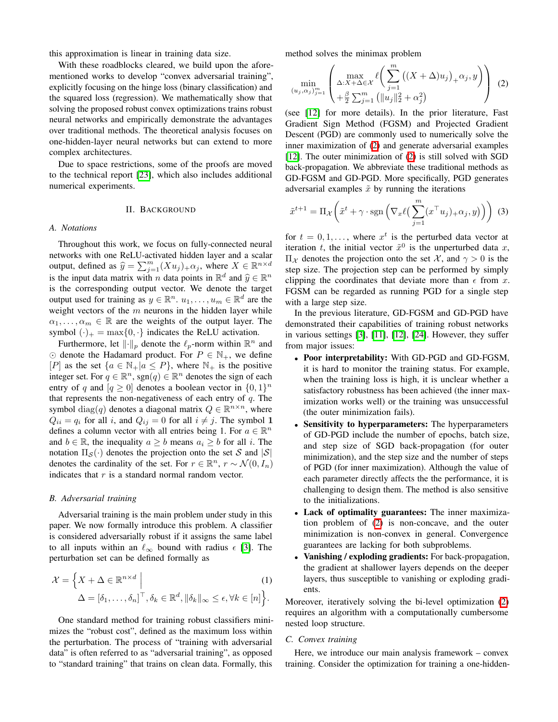this approximation is linear in training data size.

With these roadblocks cleared, we build upon the aforementioned works to develop "convex adversarial training", explicitly focusing on the hinge loss (binary classification) and the squared loss (regression). We mathematically show that solving the proposed robust convex optimizations trains robust neural networks and empirically demonstrate the advantages over traditional methods. The theoretical analysis focuses on one-hidden-layer neural networks but can extend to more complex architectures.

Due to space restrictions, some of the proofs are moved to the technical report  $[23]$ , which also includes additional numerical experiments.

## II. BACKGROUND

#### *A. Notations*

Throughout this work, we focus on fully-connected neural networks with one ReLU-activated hidden layer and a scalar output, defined as  $\hat{y} = \sum_{j=1}^{m} (Xu_j)_{+} \alpha_j$ , where  $X \in \mathbb{R}^{n \times d}$ is the input data matrix with *n* data points in  $\mathbb{R}^d$  and  $\hat{y} \in \mathbb{R}^n$ is the corresponding output vector. We denote the target output used for training as  $y \in \mathbb{R}^n$ .  $u_1, \ldots, u_m \in \mathbb{R}^d$  are the weight vectors of the *m* neurons in the hidden layer while  $\alpha_1, \ldots, \alpha_m \in \mathbb{R}$  are the weights of the output layer. The symbol  $(\cdot)_+ = \max\{0, \cdot\}$  indicates the ReLU activation.

Furthermore, let  $\lVert \cdot \rVert_p$  denote the  $\ell_p$ -norm within  $\mathbb{R}^n$  and  $\odot$  denote the Hadamard product. For  $P \in \mathbb{N}_+$ , we define [*P*] as the set  $\{a \in \mathbb{N}_+ | a \leq P\}$ , where  $\mathbb{N}_+$  is the positive integer set. For  $q \in \mathbb{R}^n$ , sgn $(q) \in \mathbb{R}^n$  denotes the sign of each entry of *q* and  $[q \ge 0]$  denotes a boolean vector in  $\{0,1\}^n$ that represents the non-negativeness of each entry of *q*. The symbol diag(*q*) denotes a diagonal matrix  $Q \in \mathbb{R}^{n \times n}$ , where  $Q_{ii} = q_i$  for all *i*, and  $Q_{ij} = 0$  for all  $i \neq j$ . The symbol 1 defines a column vector with all entries being 1. For  $a \in \mathbb{R}^n$ and  $b \in \mathbb{R}$ , the inequality  $a \geq b$  means  $a_i \geq b$  for all *i*. The notation  $\Pi_{\mathcal{S}}(\cdot)$  denotes the projection onto the set *S* and  $|\mathcal{S}|$ denotes the cardinality of the set. For  $r \in \mathbb{R}^n$ ,  $r \sim \mathcal{N}(0, I_n)$ indicates that *r* is a standard normal random vector.

#### *B. Adversarial training*

Adversarial training is the main problem under study in this paper. We now formally introduce this problem. A classifier is considered adversarially robust if it assigns the same label to all inputs within an  $\ell_{\infty}$  bound with radius  $\epsilon$  [\[3\]](#page-7-1). The perturbation set can be defined formally as

$$
\mathcal{X} = \left\{ X + \Delta \in \mathbb{R}^{n \times d} \mid \Delta = [\delta_1, \dots, \delta_n]^{\top}, \delta_k \in \mathbb{R}^d, \|\delta_k\|_{\infty} \le \epsilon, \forall k \in [n] \right\}.
$$
\n<sup>(1)</sup>

One standard method for training robust classifiers minimizes the "robust cost", defined as the maximum loss within the perturbation. The process of "training with adversarial data" is often referred to as "adversarial training", as opposed to "standard training" that trains on clean data. Formally, this

method solves the minimax problem

<span id="page-1-0"></span>
$$
\min_{(u_j,\alpha_j)_{j=1}^m} \left( \max_{\Delta:X+\Delta\in\mathcal{X}} \ell\left(\sum_{j=1}^m \left( (X+\Delta)u_j\right)_+\alpha_j, y\right) \right) (2)
$$
  
+
$$
\frac{\ell}{2} \sum_{j=1}^m \left( \|u_j\|_2^2 + \alpha_j^2 \right)
$$

(see  $\overline{12}$  for more details). In the prior literature, Fast Gradient Sign Method (FGSM) and Projected Gradient Descent (PGD) are commonly used to numerically solve the inner maximization of  $(2)$  and generate adversarial examples  $\sqrt{12}$ . The outer minimization of  $\sqrt{2}$  is still solved with SGD back-propagation. We abbreviate these traditional methods as GD-FGSM and GD-PGD. More specifically, PGD generates adversarial examples  $\tilde{x}$  by running the iterations

<span id="page-1-1"></span>
$$
\tilde{x}^{t+1} = \Pi_{\mathcal{X}}\left(\tilde{x}^t + \gamma \cdot \text{sgn}\left(\nabla_x \ell\left(\sum_{j=1}^m (x^\top u_j)_+ \alpha_j, y\right)\right)\right)
$$
(3)

for  $t = 0, 1, \ldots$ , where  $x^t$  is the perturbed data vector at iteration *t*, the initial vector  $\tilde{x}^0$  is the unperturbed data *x*,  $\Pi_{\mathcal{X}}$  denotes the projection onto the set  $\mathcal{X}$ , and  $\gamma > 0$  is the step size. The projection step can be performed by simply clipping the coordinates that deviate more than  $\epsilon$  from  $x$ . FGSM can be regarded as running PGD for a single step with a large step size.

In the previous literature, GD-FGSM and GD-PGD have demonstrated their capabilities of training robust networks in various settings  $[3]$ ,  $[11]$ ,  $[12]$ ,  $[24]$ . However, they suffer from major issues:

- Poor interpretability: With GD-PGD and GD-FGSM, it is hard to monitor the training status. For example, when the training loss is high, it is unclear whether a satisfactory robustness has been achieved (the inner maximization works well) or the training was unsuccessful (the outer minimization fails).
- *•* Sensitivity to hyperparameters: The hyperparameters of GD-PGD include the number of epochs, batch size, and step size of SGD back-propagation (for outer minimization), and the step size and the number of steps of PGD (for inner maximization). Although the value of each parameter directly affects the the performance, it is challenging to design them. The method is also sensitive to the initializations.
- *•* Lack of optimality guarantees: The inner maximization problem of  $(2)$  is non-concave, and the outer minimization is non-convex in general. Convergence guarantees are lacking for both subproblems.
- *•* Vanishing / exploding gradients: For back-propagation, the gradient at shallower layers depends on the deeper layers, thus susceptible to vanishing or exploding gradients.

Moreover, iteratively solving the bi-level optimization  $(2)$ requires an algorithm with a computationally cumbersome nested loop structure.

#### *C. Convex training*

Here, we introduce our main analysis framework – convex training. Consider the optimization for training a one-hidden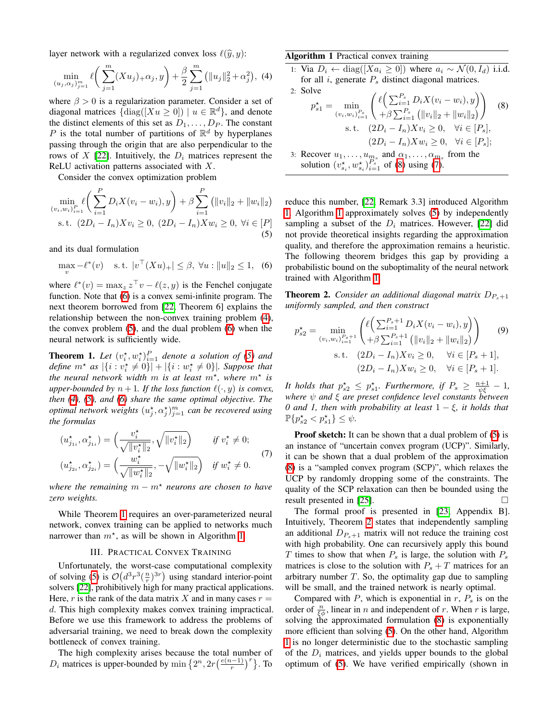layer network with a regularized convex loss  $\ell(\hat{y}, y)$ :

$$
\min_{(u_j,\alpha_j)_{j=1}^m} \ell\bigg(\sum_{j=1}^m (Xu_j)_+ \alpha_j, y\bigg) + \frac{\beta}{2} \sum_{j=1}^m \left(\|u_j\|_2^2 + \alpha_j^2\right), \tag{4}
$$

where  $\beta > 0$  is a regularization parameter. Consider a set of diagonal matrices  $\{\text{diag}([Xu \ge 0]) \mid u \in \mathbb{R}^d\}$ , and denote the distinct elements of this set as  $D_1, \ldots, D_P$ . The constant *P* is the total number of partitions of  $\mathbb{R}^d$  by hyperplanes passing through the origin that are also perpendicular to the rows of *X* [\[22\]](#page-7-19). Intuitively, the  $D_i$  matrices represent the ReLU activation patterns associated with *X*.

Consider the convex optimization problem

$$
\min_{(v_i, w_i)_{i=1}^P} \ell\left(\sum_{i=1}^P D_i X(v_i - w_i), y\right) + \beta \sum_{i=1}^P \left(\|v_i\|_2 + \|w_i\|_2\right)
$$
\n
$$
\text{s.t. } (2D_i - I_n) X v_i \ge 0, \ (2D_i - I_n) X w_i \ge 0, \ \forall i \in [P]
$$
\n
$$
(5)
$$

and its dual formulation

$$
\max_{v} -\ell^*(v) \quad \text{s.t. } |v^\top (Xu)_+| \le \beta, \ \forall u : \|u\|_2 \le 1, \tag{6}
$$

where  $\ell^*(v) = \max_z z^\top v - \ell(z, y)$  is the Fenchel conjugate function. Note that  $\overline{6}$  is a convex semi-infinite program. The next theorem borrowed from [\[22,](#page-7-19) Theorem 6] explains the relationship between the non-convex training problem  $(\overline{4})$ , the convex problem  $(5)$ , and the dual problem  $(6)$  when the neural network is sufficiently wide.

<span id="page-2-3"></span>**Theorem 1.** Let  $(v_i^*, w_i^*)_{i=1}^P$  denote a solution of  $(5)$  and *define*  $m^*$  *as*  $|\{i : v_i^* \neq 0\}| + |\{i : w_i^* \neq 0\}|$ *. Suppose that the neural network width m is at least*  $m^*$ *, where*  $m^*$  *is upper-bounded by*  $n + 1$ *. If the loss function*  $\ell(\cdot, y)$  *is convex, then [\(4\)](#page-2-1), [\(5\)](#page-2-2), and [\(6\)](#page-2-0) share the same optimal objective. The optimal network weights*  $(u_j^*, \alpha_j^*)_{j=1}^m$  *can be recovered using the formulas*

<span id="page-2-6"></span>
$$
(u_{j_{1i}}^{\star}, \alpha_{j_{1i}}^{\star}) = \left(\frac{v_i^{\star}}{\sqrt{\|v_i^{\star}\|_2}}, \sqrt{\|v_i^{\star}\|_2}\right) \quad \text{if } v_i^{\star} \neq 0; (u_{j_{2i}}^{\star}, \alpha_{j_{2i}}^{\star}) = \left(\frac{w_i^{\star}}{\sqrt{\|w_i^{\star}\|_2}}, -\sqrt{\|w_i^{\star}\|_2}\right) \quad \text{if } w_i^{\star} \neq 0.
$$
 (7)

*where the remaining*  $m - m^*$  *neurons are chosen to have zero weights.*

While Theorem  $\boxed{1}$  requires an over-parameterized neural network, convex training can be applied to networks much narrower than  $m^*$ , as will be shown in Algorithm  $\boxed{1}$ .

## III. PRACTICAL CONVEX TRAINING

Unfortunately, the worst-case computational complexity of solving  $\boxed{5}$  is  $\mathcal{O}(d^3 r^3 (\frac{n}{r})^{3r})$  using standard interior-point solvers [\[22\]](#page-7-19), prohibitively high for many practical applications. Here,  $r$  is the rank of the data matrix  $X$  and in many cases  $r =$ *d*. This high complexity makes convex training impractical. Before we use this framework to address the problems of adversarial training, we need to break down the complexity bottleneck of convex training.

The high complexity arises because the total number of  $D_i$  matrices is upper-bounded by min  $\left\{2^n, 2r\left(\frac{e(n-1)}{r}\right)^r\right\}$ . To

# <span id="page-2-4"></span><span id="page-2-1"></span>Algorithm 1 Practical convex training

1: Via  $D_i \leftarrow \text{diag}([Xa_i \geq 0])$  where  $a_i \sim \mathcal{N}(0, I_d)$  i.i.d. for all *i*, generate *P<sup>s</sup>* distinct diagonal matrices.

<span id="page-2-5"></span>2: Solve  
\n
$$
p_{s1}^* = \min_{(v_i, w_i)_{i=1}^{P_s}} \left( \ell \left( \sum_{i=1}^{P_s} D_i X(v_i - w_i), y \right) \right)
$$
\n
$$
= \ell \cdot \left( \frac{p_i w_i}{1 - P_s} \right) \left( \frac{p_i w_i}{1 - P_s} \right)
$$
\n3: Recovery  $u_1, \ldots, u_m$  and  $\alpha_1, \ldots, \alpha_m$  from the solution  $(v_{s_i}^*, w_{s_i}^*, v_{i=1}^*, \text{ of } \text{[B] using } \text{[C]}.$ 

<span id="page-2-2"></span>reduce this number, [\[22,](#page-7-19) Remark 3.3] introduced Algorithm  $\Box$  Algorithm  $\Box$  approximately solves  $\Box$  by independently sampling a subset of the  $D_i$  matrices. However,  $[22]$  did not provide theoretical insights regarding the approximation quality, and therefore the approximation remains a heuristic. The following theorem bridges this gap by providing a probabilistic bound on the suboptimality of the neural network trained with Algorithm  $\overline{\mathbf{1}}$ .

<span id="page-2-7"></span><span id="page-2-0"></span>**Theorem 2.** *Consider an additional diagonal matrix*  $D_{P_s+1}$ *uniformly sampled, and then construct*

$$
p_{s2}^* = \min_{(v_i, w_i)_{i=1}^{P_s+1}} \left( \ell \left( \sum_{i=1}^{P_s+1} D_i X(v_i - w_i), y \right) \right)
$$
  
\n
$$
+ \beta \sum_{i=1}^{P_s+1} \left( \|v_i\|_2 + \|w_i\|_2 \right)
$$
  
\n
$$
s.t. \quad (2D_i - I_n) X v_i \ge 0, \quad \forall i \in [P_s+1],
$$
  
\n
$$
(2D_i - I_n) X w_i \ge 0, \quad \forall i \in [P_s+1].
$$

*It holds that*  $p_{s2}^* \leq p_{s1}^*$ . Furthermore, if  $P_s \geq \frac{n+1}{\psi\xi} - 1$ , where  $\psi$  and  $\xi$  are preset confidence level constants between *0 and 1, then with probability at least*  $1 - \xi$ *, it holds that*  $\mathbb{P}\{p_{s2}^* < p_{s1}^*\} \leq \psi.$ 

**Proof sketch:** It can be shown that a dual problem of  $\boxed{5}$  is an instance of "uncertain convex program (UCP)". Similarly, it can be shown that a dual problem of the approximation [\(8\)](#page-2-5) is a "sampled convex program (SCP)", which relaxes the UCP by randomly dropping some of the constraints. The quality of the SCP relaxation can then be bounded using the result presented in  $[25]$ .

The formal proof is presented in  $[23]$ , Appendix B]. Intuitively, Theorem  $\sqrt{2}$  states that independently sampling an additional  $D_{P<sub>s</sub>+1}$  matrix will not reduce the training cost with high probability. One can recursively apply this bound *T* times to show that when  $P_s$  is large, the solution with  $P_s$ matrices is close to the solution with  $P_s + T$  matrices for an arbitrary number *T*. So, the optimality gap due to sampling will be small, and the trained network is nearly optimal.

Compared with *P*, which is exponential in  $r$ ,  $P_s$  is on the order of  $\frac{n}{\xi \phi}$ , linear in *n* and independent of *r*. When *r* is large, solving the approximated formulation  $(8)$  is exponentially more efficient than solving  $(5)$ . On the other hand, Algorithm  $\vert \overline{1} \vert$  $\vert \overline{1} \vert$  $\vert \overline{1} \vert$  is no longer deterministic due to the stochastic sampling of the  $D_i$  matrices, and yields upper bounds to the global optimum of  $(5)$ . We have verified empirically (shown in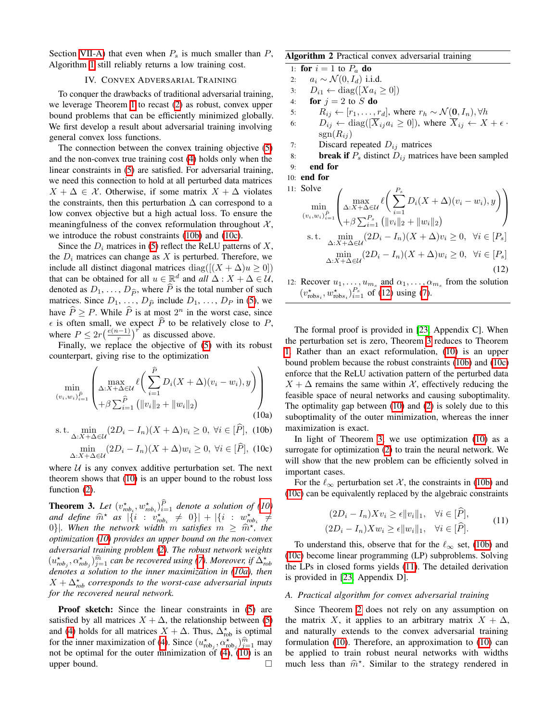Section  $\overline{\text{VII-A}}$  that even when  $P_s$  is much smaller than  $P_s$ , Algorithm  $\boxed{1}$  still reliably returns a low training cost.

# IV. CONVEX ADVERSARIAL TRAINING

To conquer the drawbacks of traditional adversarial training, we leverage Theorem  $\boxed{1}$  to recast  $\boxed{2}$  as robust, convex upper bound problems that can be efficiently minimized globally. We first develop a result about adversarial training involving general convex loss functions.

The connection between the convex training objective [\(5\)](#page-2-2) and the non-convex true training cost  $\overline{4}$  holds only when the linear constraints in  $(5)$  are satisfied. For adversarial training, we need this connection to hold at all perturbed data matrices  $X + \Delta \in \mathcal{X}$ . Otherwise, if some matrix  $X + \Delta$  violates the constraints, then this perturbation  $\Delta$  can correspond to a low convex objective but a high actual loss. To ensure the meaningfulness of the convex reformulation throughout  $X$ , we introduce the robust constraints  $(10b)$  and  $(10c)$ .

Since the  $D_i$  matrices in  $[5]$  reflect the ReLU patterns of  $X$ , the  $D_i$  matrices can change as  $X$  is perturbed. Therefore, we include all distinct diagonal matrices diag( $[(X + \Delta)u \ge 0]$ ) that can be obtained for all  $u \in \mathbb{R}^d$  and  $all \Delta : X + \Delta \in \mathcal{U}$ , denoted as  $D_1, \ldots, D_{\hat{P}}$ , where  $\hat{P}$  is the total number of such matrices. Since  $D_1, \ldots, D_{\widehat{P}}$  include  $D_1, \ldots, D_P$  in  $\boxed{5}$ , we have  $\hat{P} > P$ . While  $\hat{P}$  is at most  $2^n$  in the worst case, since  $\epsilon$  is often small, we expect *P* to be relatively close to *P*, where  $P \leq 2r\left(\frac{e(n-1)}{r}\right)^r$  as discussed above.

Finally, we replace the objective of  $(5)$  with its robust counterpart, giving rise to the optimization

$$
\min_{(v_i, w_i)_{i=1}^{\hat{P}}} \left( \max_{\Delta: X + \Delta \in \mathcal{U}} \ell \left( \sum_{i=1}^{\hat{P}} D_i (X + \Delta)(v_i - w_i), y \right) \right) + \beta \sum_{i=1}^{\hat{P}} \left( \|v_i\|_2 + \|w_i\|_2 \right) \tag{10a}
$$

s. t. 
$$
\min_{\Delta: X + \Delta \in \mathcal{U}} (2D_i - I_n)(X + \Delta)v_i \ge 0, \ \forall i \in [\widehat{P}], \ (10b)
$$

$$
\min_{\Delta:X+\Delta\in\mathcal{U}}(2D_i - I_n)(X+\Delta)w_i \ge 0, \ \forall i \in [\hat{P}], \ (10c)
$$

where  $U$  is any convex additive perturbation set. The next theorem shows that  $(10)$  is an upper bound to the robust loss function  $(2)$ .

<span id="page-3-2"></span>**Theorem 3.** Let  $(v_{rob_i}^*, w_{rob_i}^*)_{i=1}^P$  denote a solution of  $(10)$ *and define*  $\hat{m}^*$  *as*  $|\{i : v_{\text{rob}_i}^* \neq 0\}| + |\{i : w_{\text{rob}_i}^* \neq 0\}|$ 0<sup>}</sup>|*. When the network width m satisfies*  $m \geq \hat{m}^*$ , the *optimization [\(10\)](#page-3-0) provides an upper bound on the non-convex adversarial training problem [\(2\)](#page-1-0). The robust network weights*  $(u_{rob_j}^*, \alpha_{rob_j}^*)_{j=1}^{\widehat{m}}$  *can be recovered using [\(7\)](#page-2-6). Moreover, if*  $\Delta_{rob}^*$ *denotes a solution to the inner maximization in [\(10a\)](#page-3-0), then*  $X + \Delta_{\rm rob}^{\star}$  *corresponds to the worst-case adversarial inputs for the recovered neural network.*

**Proof sketch:** Since the linear constraints in [\(5\)](#page-2-2) are satisfied by all matrices  $X + \Delta$ , the relationship between [\(5\)](#page-2-2) and [\(4\)](#page-2-1) holds for all matrices  $X + \Delta$ . Thus,  $\Delta_{\text{rob}}^*$  is optimal for the inner maximization of  $(4)$ . Since  $(u_{\text{rob}_j}^*, \alpha_{\text{rob}_j}^*)_{j=1}^{\hat{m}}$  may not be optimal for the outer minimization of  $\overline{4}$ ),  $\overline{10}$  is an upper bound.

## <span id="page-3-4"></span>Algorithm 2 Practical convex adversarial training

1: for  $i = 1$  to  $P_a$  do

- 2:  $a_i \sim \mathcal{N}(0, I_d)$  i.i.d.<br>3:  $D_{i1} \leftarrow \text{diag}([X a_i])$
- 3:  $D_{i1} \leftarrow diag([Xa_i \geq 0])$ <br>4: **for**  $j = 2$  to S **do**
- for  $j = 2$  to  $S$  do
- 5:  $R_{ij} \leftarrow [r_1, \ldots, r_d]$ , where  $r_h \sim \mathcal{N}(\mathbf{0}, I_n), \forall h$ <br>6:  $D_{ij} \leftarrow \text{diag}([\overline{X}_i; a_i > 0])$ , where  $\overline{X}_{ij} \leftarrow X$
- $D_{ij} \leftarrow \text{diag}([\overline{X}_{ij}a_i \geq 0])$ , where  $\overline{X}_{ij} \leftarrow X + \epsilon$ .  $sgn(R_{ij})$
- 7: Discard repeated *Dij* matrices
- 8: **break if**  $P_s$  distinct  $D_{ij}$  matrices have been sampled
- 9: end for
- 10: end for

11: Solve  
\n
$$
\min_{(v_i, w_i)_{i=1}^{\tilde{P}} \atop \Delta: X + \Delta \in \mathcal{U}} \left( \sum_{i=1}^{P_s} D_i(X + \Delta)(v_i - w_i), y \right)
$$
\n
$$
\left( \sum_{i=1}^{P_s} \sum_{i=1}^{P_s} (||v_i||_2 + ||w_i||_2) \right)
$$
\n
$$
\text{s.t. } \min_{\Delta: X + \Delta \in \mathcal{U}} (2D_i - I_n)(X + \Delta)v_i \ge 0, \forall i \in [P_s]
$$
\n
$$
\min_{\Delta: X + \Delta \in \mathcal{U}} (2D_i - I_n)(X + \Delta)w_i \ge 0, \forall i \in [P_s]
$$
\n(12)

<span id="page-3-1"></span>12: Recover  $u_1, \ldots, u_{m_s}$  and  $\alpha_1, \ldots, \alpha_{m_s}$  from the solution  $(v_{\text{robs}_i}^{\star}, w_{\text{robs}_i}^{\star})_{i=1}^{P_s}$  of  $(12)$  using  $(7)$ .

<span id="page-3-0"></span>The formal proof is provided in  $[23]$ . Appendix C]. When the perturbation set is zero, Theorem  $\beta$  reduces to Theorem  $\sqrt{1}$ . Rather than an exact reformulation,  $\sqrt{10}$  is an upper bound problem because the robust constraints [\(10b\)](#page-3-0) and [\(10c\)](#page-3-0) enforce that the ReLU activation pattern of the perturbed data  $X + \Delta$  remains the same within *X*, effectively reducing the feasible space of neural networks and causing suboptimality. The optimality gap between  $(10)$  and  $(2)$  is solely due to this suboptimality of the outer minimization, whereas the inner maximization is exact.

In light of Theorem  $\overline{3}$ , we use optimization  $\overline{10}$  as a surrogate for optimization  $(2)$  to train the neural network. We will show that the new problem can be efficiently solved in important cases.

<span id="page-3-3"></span>For the  $\ell_{\infty}$  perturbation set X, the constraints in [\(10b\)](#page-3-0) and [\(10c\)](#page-3-0) can be equivalently replaced by the algebraic constraints

$$
(2D_i - I_n)Xv_i \ge \epsilon ||v_i||_1, \quad \forall i \in [\hat{P}],
$$
  

$$
(2D_i - I_n)Xw_i \ge \epsilon ||w_i||_1, \quad \forall i \in [\hat{P}].
$$
 (11)

To understand this, observe that for the  $\ell_{\infty}$  set, [\(10b\)](#page-3-0) and [\(10c\)](#page-3-0) become linear programming (LP) subproblems. Solving the LPs in closed forms yields  $(T1)$ . The detailed derivation is provided in  $[23]$ , Appendix D].

## *A. Practical algorithm for convex adversarial training*

Since Theorem  $\sqrt{2}$  does not rely on any assumption on the matrix X, it applies to an arbitrary matrix  $X + \Delta$ , and naturally extends to the convex adversarial training formulation  $(10)$ . Therefore, an approximation to  $(10)$  can be applied to train robust neural networks with widths much less than  $\hat{m}^*$ . Similar to the strategy rendered in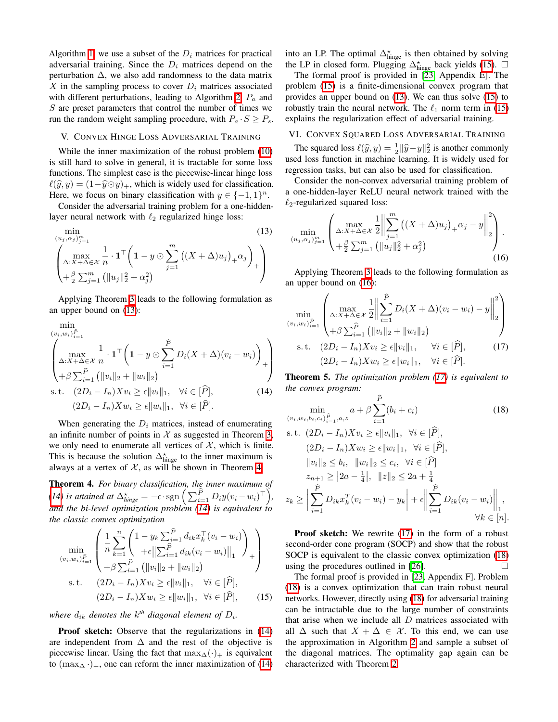Algorithm  $\prod$ , we use a subset of the  $D_i$  matrices for practical adversarial training. Since the *D<sup>i</sup>* matrices depend on the perturbation  $\Delta$ , we also add randomness to the data matrix *X* in the sampling process to cover  $D_i$  matrices associated with different perturbations, leading to Algorithm  $\boxed{2}$ ,  $P_a$  and *S* are preset parameters that control the number of times we run the random weight sampling procedure, with  $P_a \cdot S \geq P_s$ .

# V. CONVEX HINGE LOSS ADVERSARIAL TRAINING

While the inner maximization of the robust problem [\(10\)](#page-3-0) is still hard to solve in general, it is tractable for some loss functions. The simplest case is the piecewise-linear hinge loss  $\ell(\widehat{y}, y) = (1 - \widehat{y} \odot y)_+$ , which is widely used for classification. Here, we focus on binary classification with  $y \in \{-1, 1\}^n$ .

Consider the adversarial training problem for a one-hiddenlayer neural network with  $\ell_2$  regularized hinge loss:

$$
\min_{(u_j, \alpha_j)_{j=1}^m} (13)
$$
\n
$$
\left(\max_{\Delta: X + \Delta \in \mathcal{X}} \frac{1}{n} \cdot \mathbf{1}^\top \left(1 - y \odot \sum_{j=1}^m \left((X + \Delta)u_j\right)_+ \alpha_j\right)_+ \right) + \frac{\beta}{2} \sum_{j=1}^m \left(\|u_j\|_2^2 + \alpha_j^2\right)
$$
\n(13)

Applying Theorem  $\overline{3}$  leads to the following formulation as an upper bound on  $(\overline{13})$ :

$$
\min_{(v_i, w_i)_{i=1}^{\hat{P}} \atop \Delta: X + \Delta \in \mathcal{X}} \min_{n} \frac{1}{n} \cdot \mathbf{1}^\top \left( \mathbf{1} - y \odot \sum_{i=1}^{\hat{P}} D_i (X + \Delta)(v_i - w_i) \right)_{+} \newline + \beta \sum_{i=1}^{\hat{P}} \left( ||v_i||_2 + ||w_i||_2 \right) \newline \text{s.t.} \quad (2D_i - I_n) X v_i \ge \epsilon ||v_i||_1, \quad \forall i \in [\hat{P}], \quad (14) \newline (2D_i - I_n) X w_i \ge \epsilon ||w_i||_1, \quad \forall i \in [\hat{P}].
$$

When generating the  $D_i$  matrices, instead of enumerating an infinite number of points in  $X$  as suggested in Theorem  $\overline{3}$ we only need to enumerate all vertices of  $X$ , which is finite. This is because the solution  $\Delta_{\text{hinge}}^{\star}$  to the inner maximum is always at a vertex of  $X$ , as will be shown in Theorem  $\frac{1}{4}$ .

<span id="page-4-1"></span>Theorem 4. *For binary classification, the inner maximum of [\(14\)](#page-4-2) is attained at*  $\Delta_{hinge}^{\star} = -\epsilon \cdot \text{sgn} \left( \sum_{i=1}^{\widehat{P}} D_i y (v_i - w_i)^{\top} \right)$ , *and the bi-level optimization problem [\(14\)](#page-4-2) is equivalent to the classic convex optimization*

$$
\min_{(v_i, w_i)_{i=1}^{\hat{P}}} \left( \frac{1}{n} \sum_{k=1}^n \left( 1 - y_k \sum_{i=1}^{\hat{P}} d_{ik} x_k^\top (v_i - w_i) \right)_{(v_i, w_i)_{i=1}^{\hat{P}}} \right) + \beta \sum_{i=1}^{\hat{P}} \left( \|v_i\|_2 + \|w_i\|_2 \right) \text{s.t.} \quad (2D_i - I_n) X v_i \ge \epsilon \|v_i\|_1, \quad \forall i \in [\hat{P}],
$$
\n
$$
(2D_i - I_n) X w_i \ge \epsilon \|w_i\|_1, \quad \forall i \in [\hat{P}], \quad (15)
$$

*where*  $d_{ik}$  *denotes the*  $k^{th}$  *diagonal element of*  $D_i$ *.* 

Proof sketch: Observe that the regularizations in  $(14)$ are independent from  $\Delta$  and the rest of the objective is piecewise linear. Using the fact that  $\max_{\Delta}(\cdot)_{+}$  is equivalent to  $(\max_{\Delta} \cdot)_{+}$ , one can reform the inner maximization of  $(14)$ 

into an LP. The optimal  $\Delta_{\text{hinge}}^{\star}$  is then obtained by solving the LP in closed form. Plugging  $\Delta_{\text{hinge}}^{\star}$  back yields  $\sqrt{15}$ .  $\Box$ 

The formal proof is provided in  $[23]$ , Appendix E]. The problem [\(15\)](#page-4-3) is a finite-dimensional convex program that provides an upper bound on  $\sqrt{13}$ . We can thus solve  $\sqrt{15}$  to robustly train the neural network. The  $\ell_1$  norm term in [\(15\)](#page-4-3) explains the regularization effect of adversarial training.

VI. CONVEX SQUARED LOSS ADVERSARIAL TRAINING

The squared loss  $\ell(\hat{y}, y) = \frac{1}{2} ||\hat{y} - y||_2^2$  is another commonly used loss function in machine learning. It is widely used for regression tasks, but can also be used for classification.

Consider the non-convex adversarial training problem of a one-hidden-layer ReLU neural network trained with the  $\ell_2$ -regularized squared loss:

<span id="page-4-4"></span><span id="page-4-0"></span>
$$
\min_{(u_j, \alpha_j)_{j=1}^m} \left( \max_{\Delta: X + \Delta \in \mathcal{X}} \frac{1}{2} \left\| \sum_{j=1}^m \left( (X + \Delta) u_j \right)_+ \alpha_j - y \right\|_2^2 \right) + \frac{\beta}{2} \sum_{j=1}^m \left( \|u_j\|_2^2 + \alpha_j^2 \right) \tag{16}
$$

Applying Theorem  $\overline{3}$  leads to the following formulation as an upper bound on  $(16)$ :

<span id="page-4-5"></span>
$$
\min_{(v_i, w_i)_{i=1}^{\hat{P}}} \left( \max_{\Delta: X + \Delta \in \mathcal{X}} \frac{1}{2} \left\| \sum_{i=1}^{\hat{P}} D_i (X + \Delta)(v_i - w_i) - y \right\|_2^2 \right) + \beta \sum_{i=1}^{\hat{P}} (\|v_i\|_2 + \|w_i\|_2)
$$
\n
$$
\text{s.t.} \quad (2D_i - I_n) X v_i \ge \epsilon \|v_i\|_1, \quad \forall i \in [\hat{P}], \quad (17)
$$
\n
$$
(2D_i - I_n) X w_i \ge \epsilon \|w_i\|_1, \quad \forall i \in [\hat{P}].
$$

<span id="page-4-2"></span>Theorem 5. *The optimization problem [\(17\)](#page-4-5) is equivalent to the convex program:*

<span id="page-4-6"></span>
$$
\min_{(v_i, w_i, b_i, c_i)_{i=1}^{\hat{P}}, a, z} a + \beta \sum_{i=1}^P (b_i + c_i)
$$
\n(18)

s.t. 
$$
(2D_i - I_n)Xv_i \ge \epsilon ||v_i||_1
$$
,  $\forall i \in [P]$ ,  
\n $(2D_i - I_n)Xw_i \ge \epsilon ||w_i||_1$ ,  $\forall i \in [\hat{P}]$ ,  
\n $||v_i||_2 \le b_i$ ,  $||w_i||_2 \le c_i$ ,  $\forall i \in [\hat{P}]$   
\n $z_{n+1} \ge |2a - \frac{1}{4}|$ ,  $||z||_2 \le 2a + \frac{1}{4}$   
\n $z_k \ge \left| \sum_{i=1}^{\hat{P}} D_{ik}x_k^T(v_i - w_i) - y_k \right| + \epsilon \left\| \sum_{i=1}^{\hat{P}} D_{ik}(v_i - w_i) \right\|_1$ ,  
\n $\forall k \in [n]$ .

**Proof sketch:** We rewrite  $(17)$  in the form of a robust second-order cone program (SOCP) and show that the robust SOCP is equivalent to the classic convex optimization  $(18)$ using the procedures outlined in  $[26]$ .

<span id="page-4-3"></span>The formal proof is provided in  $\overline{[23]}$ , Appendix F]. Problem [\(18\)](#page-4-6) is a convex optimization that can train robust neural networks. However, directly using [\(18\)](#page-4-6) for adversarial training can be intractable due to the large number of constraints that arise when we include all *D* matrices associated with all  $\Delta$  such that  $X + \Delta \in \mathcal{X}$ . To this end, we can use the approximation in Algorithm  $\sqrt{2}$  and sample a subset of the diagonal matrices. The optimality gap again can be characterized with Theorem [2.](#page-2-7)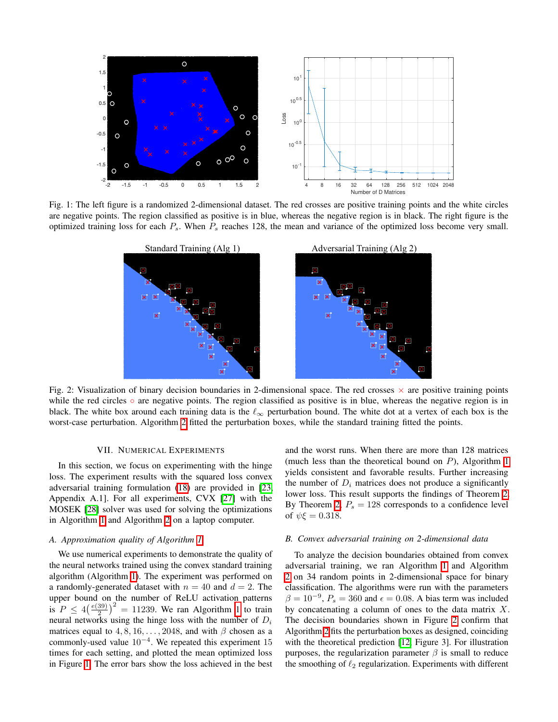<span id="page-5-1"></span>

<span id="page-5-2"></span>Fig. 1: The left figure is a randomized 2-dimensional dataset. The red crosses are positive training points and the white circles are negative points. The region classified as positive is in blue, whereas the negative region is in black. The right figure is the optimized training loss for each *Ps*. When *P<sup>s</sup>* reaches 128, the mean and variance of the optimized loss become very small.



Fig. 2: Visualization of binary decision boundaries in 2-dimensional space. The red crosses  $\times$  are positive training points while the red circles  $\circ$  are negative points. The region classified as positive is in blue, whereas the negative region is in black. The white box around each training data is the  $\ell_{\infty}$  perturbation bound. The white dot at a vertex of each box is the worst-case perturbation. Algorithm  $\boxed{2}$  fitted the perturbation boxes, while the standard training fitted the points.

## VII. NUMERICAL EXPERIMENTS

In this section, we focus on experimenting with the hinge loss. The experiment results with the squared loss convex adversarial training formulation  $(18)$  are provided in  $[23]$ Appendix A.1]. For all experiments, CVX  $[27]$  with the MOSEK [\[28\]](#page-7-25) solver was used for solving the optimizations in Algorithm  $\boxed{1}$  and Algorithm  $\boxed{2}$  on a laptop computer.

## <span id="page-5-0"></span>*A. Approximation quality of Algorithm [1](#page-2-4)*

We use numerical experiments to demonstrate the quality of the neural networks trained using the convex standard training algorithm (Algorithm  $\vert I \vert$ ). The experiment was performed on a randomly-generated dataset with  $n = 40$  and  $d = 2$ . The upper bound on the number of ReLU activation patterns is  $P \leq 4 \left( \frac{e(39)}{2} \right)^2 = 11239$  $P \leq 4 \left( \frac{e(39)}{2} \right)^2 = 11239$  $P \leq 4 \left( \frac{e(39)}{2} \right)^2 = 11239$ . We ran Algorithm 1 to train neural networks using the hinge loss with the number of *D<sup>i</sup>* matrices equal to  $4, 8, 16, \ldots, 2048$ , and with  $\beta$  chosen as a commonly-used value  $10^{-4}$ . We repeated this experiment 15 times for each setting, and plotted the mean optimized loss in Figure  $\prod$  The error bars show the loss achieved in the best

and the worst runs. When there are more than 128 matrices (much less than the theoretical bound on  $P$ ), Algorithm  $\boxed{1}$ yields consistent and favorable results. Further increasing the number of  $D_i$  matrices does not produce a significantly lower loss. This result supports the findings of Theorem  $2$ . By Theorem  $\sqrt{2}$ ,  $P_s = 128$  corresponds to a confidence level of  $\psi \xi = 0.318$ .

#### <span id="page-5-3"></span>*B. Convex adversarial training on 2-dimensional data*

To analyze the decision boundaries obtained from convex adversarial training, we ran Algorithm  $\boxed{1}$  and Algorithm  $\sqrt{2}$  $\sqrt{2}$  $\sqrt{2}$  on 34 random points in 2-dimensional space for binary classification. The algorithms were run with the parameters  $\beta = 10^{-9}$ ,  $P_s = 360$  and  $\epsilon = 0.08$ . A bias term was included by concatenating a column of ones to the data matrix *X*. The decision boundaries shown in Figure  $\sqrt{2}$  confirm that Algorithm  $2$  fits the perturbation boxes as designed, coinciding with the theoretical prediction  $[12]$ , Figure 3]. For illustration purposes, the regularization parameter  $\beta$  is small to reduce the smoothing of  $\ell_2$  regularization. Experiments with different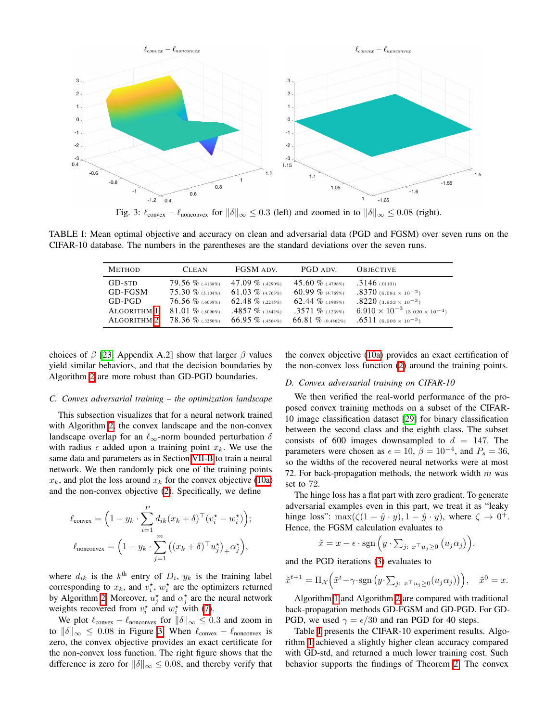<span id="page-6-0"></span>

Fig. 3:  $\ell_{\text{convex}} - \ell_{\text{nonconvex}}$  for  $\|\delta\|_{\infty} \leq 0.3$  (left) and zoomed in to  $\|\delta\|_{\infty} \leq 0.08$  (right).

<span id="page-6-1"></span>TABLE I: Mean optimal objective and accuracy on clean and adversarial data (PGD and FGSM) over seven runs on the CIFAR-10 database. The numbers in the parentheses are the standard deviations over the seven runs.

| <b>METHOD</b>          | <b>CLEAN</b>                            | FGSM ADV.          | PGD ADV.             | <b>OBJECTIVE</b>                                          |
|------------------------|-----------------------------------------|--------------------|----------------------|-----------------------------------------------------------|
| GD-STD                 | $79.56\%$ (4138%) $47.09\%$ (4290%)     |                    | 45.60 % (.4796%)     | $.3146$ (.01101)                                          |
| GD-FGSM                | 75.30 $\%$ (3.104%) 61.03 $\%$ (4.763%) |                    | $60.99\%$ (4.769%)   | $.8370$ (6.681 $\times$ 10 <sup>-2</sup> )                |
| $GD$ -P $GD$           | 76.56 $\%$ (.6038%) 62.48 $\%$ (.2215%) |                    | 62.44 $\%$ (.1988%)  | $.8220$ (3.933 $\times$ 10 <sup>-3</sup> )                |
| ALGORITHM <sup>1</sup> | 81.01 $\%$ (.8090%)                     | $.4857\%$ (.1842%) | $.3571\%$ (.1239%)   | $6.910 \times 10^{-3}$ (3.020 $\times$ 10 <sup>-4</sup> ) |
| ALGORITHM <sup>2</sup> | 78.36 $\%$ (.3250%) 66.95 $\%$ (.4564%) |                    | 66.81 $\%$ (0.4862%) | $.6511$ (6.903 $\times$ 10 <sup>-3</sup> )                |

choices of  $\beta$  [\[23,](#page-7-20) Appendix A.2] show that larger  $\beta$  values yield similar behaviors, and that the decision boundaries by Algorithm  $\sqrt{2}$  are more robust than GD-PGD boundaries.

#### *C. Convex adversarial training – the optimization landscape*

This subsection visualizes that for a neural network trained with Algorithm  $\sqrt{2}$ , the convex landscape and the non-convex landscape overlap for an  $\ell_{\infty}$ -norm bounded perturbation  $\delta$ with radius  $\epsilon$  added upon a training point  $x_k$ . We use the same data and parameters as in Section **VII-B** to train a neural network. We then randomly pick one of the training points  $x_k$ , and plot the loss around  $x_k$  for the convex objective [\(10a\)](#page-3-0) and the non-convex objective  $(2)$ . Specifically, we define

$$
\ell_{\text{convex}} = \left(1 - y_k \cdot \sum_{i=1}^P d_{ik}(x_k + \delta)^\top (v_i^\star - w_i^\star) \right);
$$

$$
\ell_{\text{nonconvex}} = \left(1 - y_k \cdot \sum_{j=1}^m \left( (x_k + \delta)^\top u_j^\star \right)_+ \alpha_j^\star \right),
$$

where  $d_{ik}$  is the  $k^{\text{th}}$  entry of  $D_i$ ,  $y_k$  is the training label corresponding to  $x_k$ , and  $v_i^*$ ,  $w_i^*$  are the optimizers returned by Algorithm  $\boxed{2}$ . Moreover,  $u_j^*$  and  $\alpha_j^*$  are the neural network weights recovered from  $v_i^*$  and  $w_i^*$  with  $\boxed{7}$ .

We plot  $\ell_{\text{convex}} - \ell_{\text{nonconvex}}$  for  $\|\delta\|_{\infty} \leq 0.3$  and zoom in to  $\|\delta\|_{\infty} \leq 0.08$  in Figure [3.](#page-6-0) When  $\ell_{\text{convex}} - \ell_{\text{nonconvex}}$  is zero, the convex objective provides an exact certificate for the non-convex loss function. The right figure shows that the difference is zero for  $\|\delta\|_{\infty} \leq 0.08$ , and thereby verify that the convex objective  $(10a)$  provides an exact certification of the non-convex loss function  $(2)$  around the training points.

#### *D. Convex adversarial training on CIFAR-10*

We then verified the real-world performance of the proposed convex training methods on a subset of the CIFAR-10 image classification dataset [\[29\]](#page-7-26) for binary classification between the second class and the eighth class. The subset consists of 600 images downsampled to  $d = 147$ . The parameters were chosen as  $\epsilon = 10$ ,  $\beta = 10^{-4}$ , and  $P_s = 36$ , so the widths of the recovered neural networks were at most 72. For back-propagation methods, the network width *m* was set to 72.

The hinge loss has a flat part with zero gradient. To generate adversarial examples even in this part, we treat it as "leaky hinge loss":  $\max(\zeta(1-\hat{y}\cdot y), 1-\hat{y}\cdot y)$ , where  $\zeta \to 0^+$ . Hence, the FGSM calculation evaluates to

$$
\tilde{x} = x - \epsilon \cdot \text{sgn}\left(y \cdot \sum_{j:\ x \supset y \ge 0} (u_j \alpha_j)\right).
$$

and the PGD iterations  $(3)$  evaluates to

$$
\tilde{x}^{t+1} = \Pi_{\mathcal{X}} \Big( \tilde{x}^t - \gamma \cdot \text{sgn}\left(y \cdot \sum_{j: \ x^{\top} u_j \ge 0} (u_j \alpha_j)\right) \Big), \quad \tilde{x}^0 = x.
$$

Algorithm  $\prod$  and Algorithm  $\boxed{2}$  are compared with traditional back-propagation methods GD-FGSM and GD-PGD. For GD-PGD, we used  $\gamma = \epsilon/30$  and ran PGD for 40 steps.

Table  $\overline{I}$  presents the CIFAR-10 experiment results. Algorithm  $\prod$  achieved a slightly higher clean accuracy compared with GD-std, and returned a much lower training cost. Such behavior supports the findings of Theorem  $\overline{2}$ . The convex